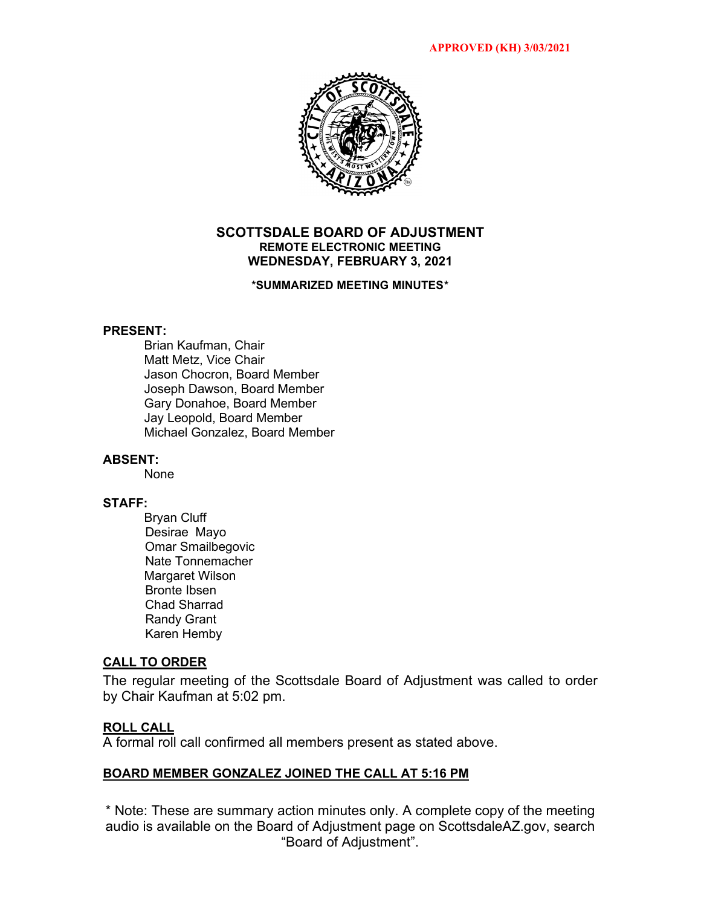

## **SCOTTSDALE BOARD OF ADJUSTMENT REMOTE ELECTRONIC MEETING WEDNESDAY, FEBRUARY 3, 2021**

### **\*SUMMARIZED MEETING MINUTES\***

## **PRESENT:**

Brian Kaufman, Chair Matt Metz, Vice Chair Jason Chocron, Board Member Joseph Dawson, Board Member Gary Donahoe, Board Member Jay Leopold, Board Member Michael Gonzalez, Board Member

## **ABSENT:**

None

#### **STAFF:**

Bryan Cluff Desirae Mayo Omar Smailbegovic Nate Tonnemacher Margaret Wilson Bronte Ibsen Chad Sharrad Randy Grant Karen Hemby

## **CALL TO ORDER**

The regular meeting of the Scottsdale Board of Adjustment was called to order by Chair Kaufman at 5:02 pm.

### **ROLL CALL**

A formal roll call confirmed all members present as stated above.

#### **BOARD MEMBER GONZALEZ JOINED THE CALL AT 5:16 PM**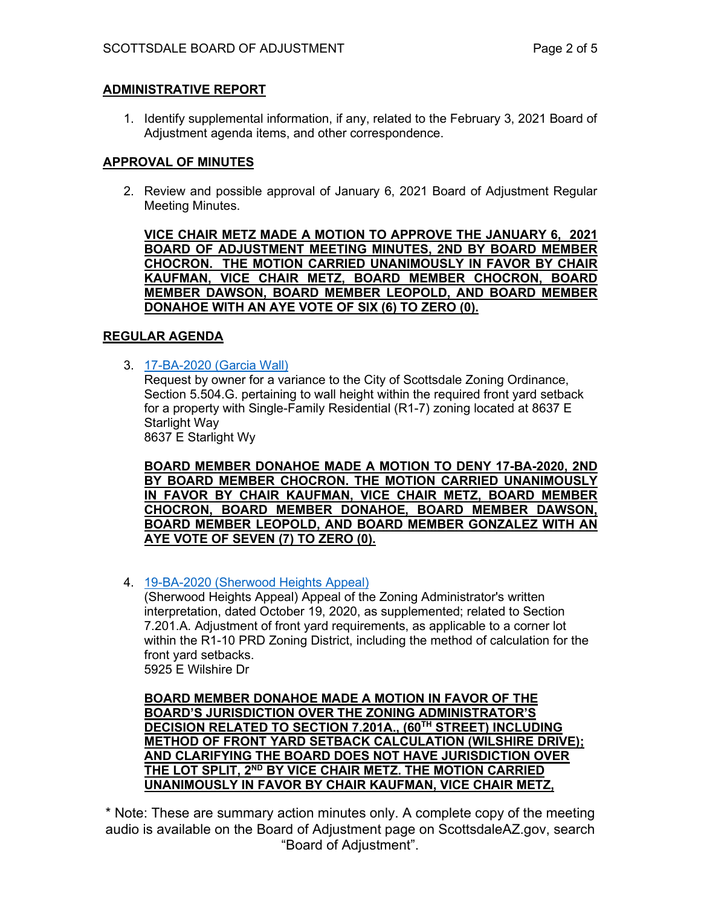# **ADMINISTRATIVE REPORT**

1. Identify supplemental information, if any, related to the February 3, 2021 Board of Adjustment agenda items, and other correspondence.

# **APPROVAL OF MINUTES**

2. Review and possible approval of January 6, 2021 Board of Adjustment Regular Meeting Minutes.

**VICE CHAIR METZ MADE A MOTION TO APPROVE THE JANUARY 6, 2021 BOARD OF ADJUSTMENT MEETING MINUTES, 2ND BY BOARD MEMBER CHOCRON. THE MOTION CARRIED UNANIMOUSLY IN FAVOR BY CHAIR KAUFMAN, VICE CHAIR METZ, BOARD MEMBER CHOCRON, BOARD MEMBER DAWSON, BOARD MEMBER LEOPOLD, AND BOARD MEMBER DONAHOE WITH AN AYE VOTE OF SIX (6) TO ZERO (0).** 

## **REGULAR AGENDA**

3. [17-BA-2020 \(Garcia Wall\)](https://eservices.scottsdaleaz.gov/planning/projectsummary/ba_reports/BA_17_BA_2020.pdf)

Request by owner for a variance to the City of Scottsdale Zoning Ordinance, Section 5.504.G. pertaining to wall height within the required front yard setback for a property with Single-Family Residential (R1-7) zoning located at 8637 E Starlight Way

8637 E Starlight Wy

**BOARD MEMBER DONAHOE MADE A MOTION TO DENY 17-BA-2020, 2ND BY BOARD MEMBER CHOCRON. THE MOTION CARRIED UNANIMOUSLY IN FAVOR BY CHAIR KAUFMAN, VICE CHAIR METZ, BOARD MEMBER CHOCRON, BOARD MEMBER DONAHOE, BOARD MEMBER DAWSON, BOARD MEMBER LEOPOLD, AND BOARD MEMBER GONZALEZ WITH AN AYE VOTE OF SEVEN (7) TO ZERO (0).** 

4. [19-BA-2020 \(Sherwood Heights](https://eservices.scottsdaleaz.gov/planning/projectsummary/ba_reports/BA_19_BA_2020.pdf) Appeal)

(Sherwood Heights Appeal) Appeal of the Zoning Administrator's written interpretation, dated October 19, 2020, as supplemented; related to Section 7.201.A. Adjustment of front yard requirements, as applicable to a corner lot within the R1-10 PRD Zoning District, including the method of calculation for the front yard setbacks. 5925 E Wilshire Dr

**BOARD MEMBER DONAHOE MADE A MOTION IN FAVOR OF THE BOARD'S JURISDICTION OVER THE ZONING ADMINISTRATOR'S DECISION RELATED TO SECTION 7.201A., (60TH STREET) INCLUDING METHOD OF FRONT YARD SETBACK CALCULATION (WILSHIRE DRIVE); AND CLARIFYING THE BOARD DOES NOT HAVE JURISDICTION OVER THE LOT SPLIT, 2ND BY VICE CHAIR METZ. THE MOTION CARRIED UNANIMOUSLY IN FAVOR BY CHAIR KAUFMAN, VICE CHAIR METZ,**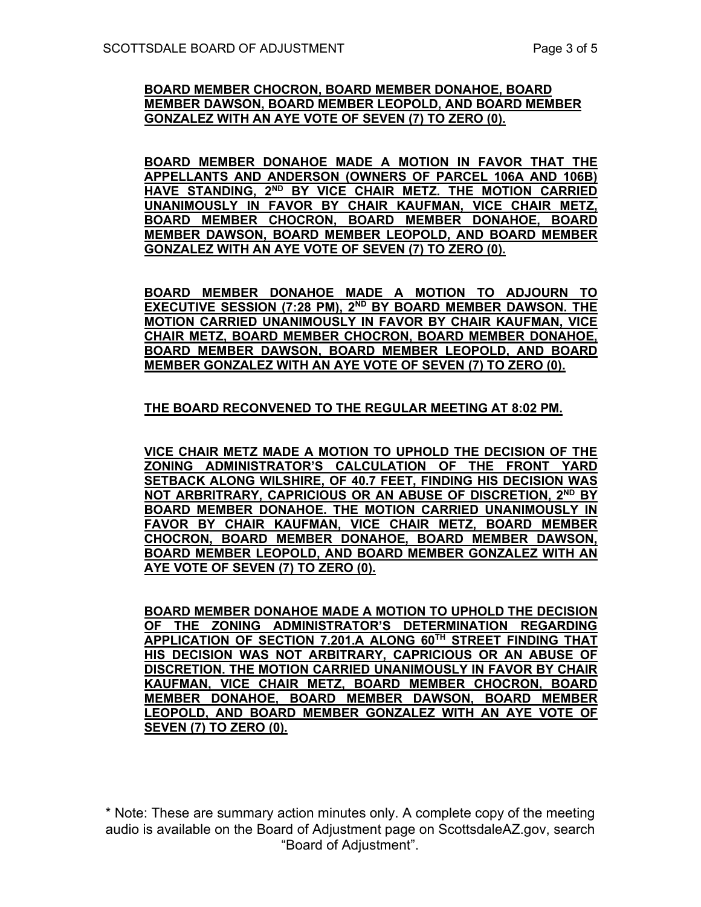## **BOARD MEMBER CHOCRON, BOARD MEMBER DONAHOE, BOARD MEMBER DAWSON, BOARD MEMBER LEOPOLD, AND BOARD MEMBER GONZALEZ WITH AN AYE VOTE OF SEVEN (7) TO ZERO (0).**

**BOARD MEMBER DONAHOE MADE A MOTION IN FAVOR THAT THE APPELLANTS AND ANDERSON (OWNERS OF PARCEL 106A AND 106B) HAVE STANDING, 2ND BY VICE CHAIR METZ. THE MOTION CARRIED UNANIMOUSLY IN FAVOR BY CHAIR KAUFMAN, VICE CHAIR METZ, BOARD MEMBER CHOCRON, BOARD MEMBER DONAHOE, BOARD MEMBER DAWSON, BOARD MEMBER LEOPOLD, AND BOARD MEMBER GONZALEZ WITH AN AYE VOTE OF SEVEN (7) TO ZERO (0).** 

**BOARD MEMBER DONAHOE MADE A MOTION TO ADJOURN TO EXECUTIVE SESSION (7:28 PM), 2ND BY BOARD MEMBER DAWSON. THE MOTION CARRIED UNANIMOUSLY IN FAVOR BY CHAIR KAUFMAN, VICE CHAIR METZ, BOARD MEMBER CHOCRON, BOARD MEMBER DONAHOE, BOARD MEMBER DAWSON, BOARD MEMBER LEOPOLD, AND BOARD MEMBER GONZALEZ WITH AN AYE VOTE OF SEVEN (7) TO ZERO (0).** 

# **THE BOARD RECONVENED TO THE REGULAR MEETING AT 8:02 PM.**

**VICE CHAIR METZ MADE A MOTION TO UPHOLD THE DECISION OF THE ZONING ADMINISTRATOR'S CALCULATION OF THE FRONT YARD SETBACK ALONG WILSHIRE, OF 40.7 FEET, FINDING HIS DECISION WAS NOT ARBRITRARY, CAPRICIOUS OR AN ABUSE OF DISCRETION, 2ND BY BOARD MEMBER DONAHOE. THE MOTION CARRIED UNANIMOUSLY IN FAVOR BY CHAIR KAUFMAN, VICE CHAIR METZ, BOARD MEMBER CHOCRON, BOARD MEMBER DONAHOE, BOARD MEMBER DAWSON, BOARD MEMBER LEOPOLD, AND BOARD MEMBER GONZALEZ WITH AN AYE VOTE OF SEVEN (7) TO ZERO (0).** 

**BOARD MEMBER DONAHOE MADE A MOTION TO UPHOLD THE DECISION OF THE ZONING ADMINISTRATOR'S DETERMINATION REGARDING APPLICATION OF SECTION 7.201.A ALONG 60TH STREET FINDING THAT HIS DECISION WAS NOT ARBITRARY, CAPRICIOUS OR AN ABUSE OF DISCRETION. THE MOTION CARRIED UNANIMOUSLY IN FAVOR BY CHAIR KAUFMAN, VICE CHAIR METZ, BOARD MEMBER CHOCRON, BOARD MEMBER DONAHOE, BOARD MEMBER DAWSON, BOARD MEMBER LEOPOLD, AND BOARD MEMBER GONZALEZ WITH AN AYE VOTE OF SEVEN (7) TO ZERO (0).**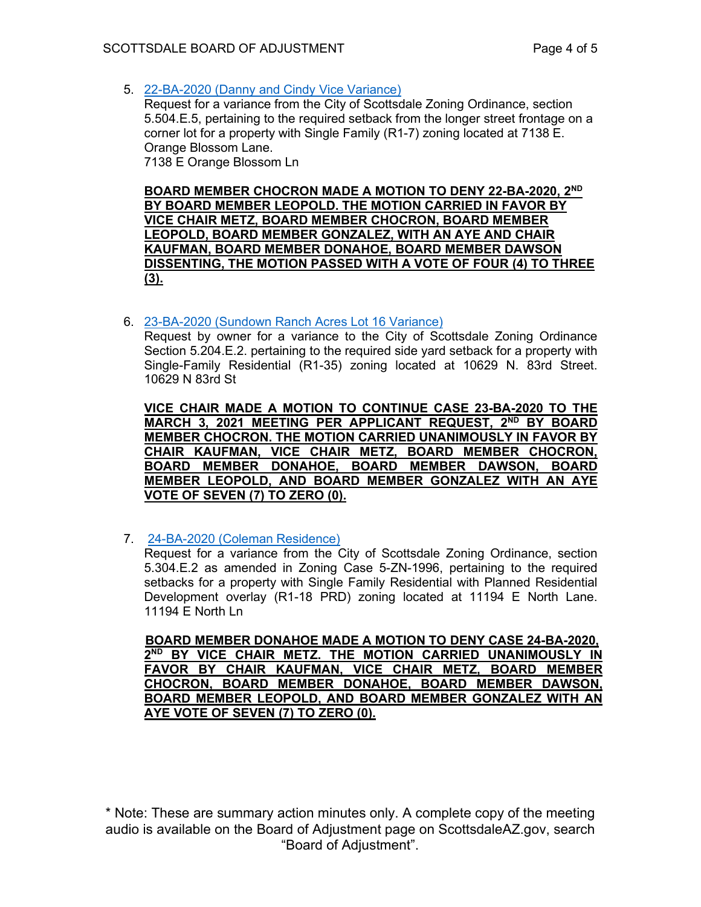5. [22-BA-2020 \(Danny and Cindy Vice Variance\)](https://eservices.scottsdaleaz.gov/planning/projectsummary/ba_reports/BA_22_BA_2020.pdf)

Request for a variance from the City of Scottsdale Zoning Ordinance, section 5.504.E.5, pertaining to the required setback from the longer street frontage on a corner lot for a property with Single Family (R1-7) zoning located at 7138 E. Orange Blossom Lane. 7138 E Orange Blossom Ln

**BOARD MEMBER CHOCRON MADE A MOTION TO DENY 22-BA-2020, 2ND BY BOARD MEMBER LEOPOLD. THE MOTION CARRIED IN FAVOR BY VICE CHAIR METZ, BOARD MEMBER CHOCRON, BOARD MEMBER LEOPOLD, BOARD MEMBER GONZALEZ, WITH AN AYE AND CHAIR KAUFMAN, BOARD MEMBER DONAHOE, BOARD MEMBER DAWSON DISSENTING, THE MOTION PASSED WITH A VOTE OF FOUR (4) TO THREE (3).** 

6. [23-BA-2020 \(Sundown Ranch Acres Lot 16 Variance\)](https://eservices.scottsdaleaz.gov/planning/projectsummary/ba_reports/BA_23_BA_2020.pdf)

Request by owner for a variance to the City of Scottsdale Zoning Ordinance Section 5.204.E.2. pertaining to the required side yard setback for a property with Single-Family Residential (R1-35) zoning located at 10629 N. 83rd Street. 10629 N 83rd St

**VICE CHAIR MADE A MOTION TO CONTINUE CASE 23-BA-2020 TO THE MARCH 3, 2021 MEETING PER APPLICANT REQUEST, 2ND BY BOARD MEMBER CHOCRON. THE MOTION CARRIED UNANIMOUSLY IN FAVOR BY CHAIR KAUFMAN, VICE CHAIR METZ, BOARD MEMBER CHOCRON, BOARD MEMBER DONAHOE, BOARD MEMBER DAWSON, BOARD MEMBER LEOPOLD, AND BOARD MEMBER GONZALEZ WITH AN AYE VOTE OF SEVEN (7) TO ZERO (0).** 

7. [24-BA-2020 \(Coleman Residence\)](https://eservices.scottsdaleaz.gov/planning/projectsummary/ba_reports/BA_24_BA_2020.pdf)

Request for a variance from the City of Scottsdale Zoning Ordinance, section 5.304.E.2 as amended in Zoning Case 5-ZN-1996, pertaining to the required setbacks for a property with Single Family Residential with Planned Residential Development overlay (R1-18 PRD) zoning located at 11194 E North Lane. 11194 E North Ln

 **BOARD MEMBER DONAHOE MADE A MOTION TO DENY CASE 24-BA-2020, 2ND BY VICE CHAIR METZ. THE MOTION CARRIED UNANIMOUSLY IN FAVOR BY CHAIR KAUFMAN, VICE CHAIR METZ, BOARD MEMBER CHOCRON, BOARD MEMBER DONAHOE, BOARD MEMBER DAWSON, BOARD MEMBER LEOPOLD, AND BOARD MEMBER GONZALEZ WITH AN AYE VOTE OF SEVEN (7) TO ZERO (0).**